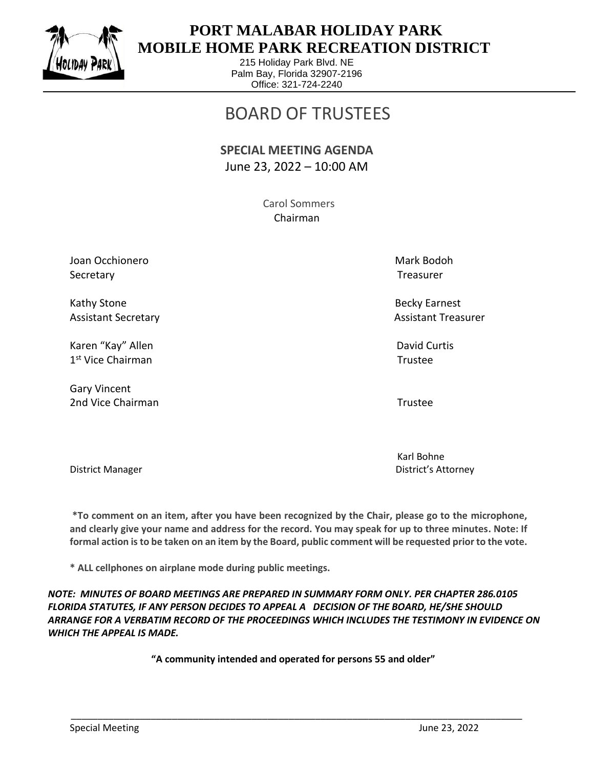

 $\overline{a}$ 

## **PORT MALABAR HOLIDAY PARK MOBILE HOME PARK RECREATION DISTRICT**

215 Holiday Park Blvd. NE Palm Bay, Florida 32907-2196 Office: 321-724-2240

## BOARD OF TRUSTEES

## **SPECIAL MEETING AGENDA** June 23, 2022 – 10:00 AM

 Carol Sommers Chairman

Joan Occhionero National American Mark Bodoh Nark Bodoh National American Mark Bodoh Secretary Treasurer

Kathy Stone Becky Earnest

Karen "Kay" Allen David Curtis Allen David Curtis Allen David Curtis David Curtis David Curtis Allen David Curtis Allen David Curtis Allen David Curtis Allen David Curtis Allen David Curtis Allen David Curtis Allen David C 1 st Vice Chairman Trustee

Gary Vincent 2nd Vice Chairman Trustee

Assistant Secretary Assistant Treasurer Assistant Treasurer

Karl Bohne District Manager District's Attorney

**\*To comment on an item, after you have been recognized by the Chair, please go to the microphone, and clearly give your name and address for the record. You may speak for up to three minutes. Note: If formal action is to be taken on an item by the Board, public comment will be requested prior to the vote.**

**\* ALL cellphones on airplane mode during public meetings.**

*NOTE: MINUTES OF BOARD MEETINGS ARE PREPARED IN SUMMARY FORM ONLY. PER CHAPTER 286.0105 FLORIDA STATUTES, IF ANY PERSON DECIDES TO APPEAL A DECISION OF THE BOARD, HE/SHE SHOULD ARRANGE FOR A VERBATIM RECORD OF THE PROCEEDINGS WHICH INCLUDES THE TESTIMONY IN EVIDENCE ON WHICH THE APPEAL IS MADE.*

**"A community intended and operated for persons 55 and older"**

\_\_\_\_\_\_\_\_\_\_\_\_\_\_\_\_\_\_\_\_\_\_\_\_\_\_\_\_\_\_\_\_\_\_\_\_\_\_\_\_\_\_\_\_\_\_\_\_\_\_\_\_\_\_\_\_\_\_\_\_\_\_\_\_\_\_\_\_\_\_\_\_\_\_\_\_\_\_\_\_\_\_\_\_\_